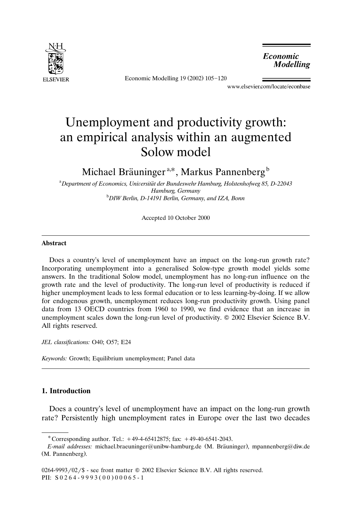

Economic Modelling 19 (2002) 105-120

*Economic* **Modelling** 

www.elsevier.com/locate/econbase

## Unemployment and productivity growth: an empirical analysis within an augmented Solow model

Michael Bräuninger<sup>a,\*</sup>, Markus Pannenberg<sup>b</sup>

a *Department of Economics, Uniersitat der Bundeswehr Hamburg, Holstenhofweg 85, D-22043* ¨ *Hamburg, Germany* <sup>b</sup> *DIW Berlin, D-14191 Berlin, Germany, and IZA, Bonn*

Accepted 10 October 2000

## **Abstract**

Does a country's level of unemployment have an impact on the long-run growth rate? Incorporating unemployment into a generalised Solow-type growth model yields some answers. In the traditional Solow model, unemployment has no long-run influence on the growth rate and the level of productivity. The long-run level of productivity is reduced if higher unemployment leads to less formal education or to less learning-by-doing. If we allow for endogenous growth, unemployment reduces long-run productivity growth. Using panel data from 13 OECD countries from 1960 to 1990, we find evidence that an increase in unemployment scales down the long-run level of productivity.  $\odot$  2002 Elsevier Science B.V. All rights reserved.

*JEL classifications:* O40; O57; E24

*Keywords:* Growth; Equilibrium unemployment; Panel data

## **1. Introduction**

Does a country's level of unemployment have an impact on the long-run growth rate? Persistently high unemployment rates in Europe over the last two decades

<sup>\*</sup> Corresponding author. Tel.:  $+49-4-65412875$ ; fax:  $+49-40-6541-2043$ .

*E-mail addresses:* michael.braeuninger@unibw-hamburg.de (M. Bräuninger), mpannenberg@diw.de (M. Pannenberg).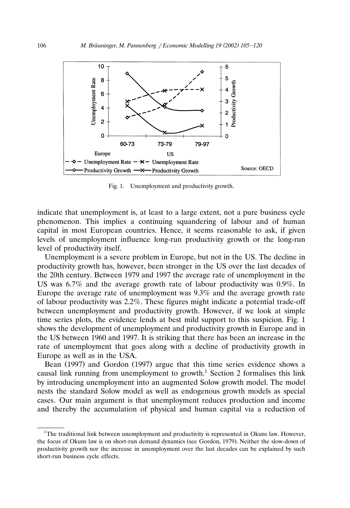

Fig. 1. Unemployment and productivity growth.

indicate that unemployment is, at least to a large extent, not a pure business cycle phenomenon. This implies a continuing squandering of labour and of human capital in most European countries. Hence, it seems reasonable to ask, if given levels of unemployment influence long-run productivity growth or the long-run level of productivity itself.

Unemployment is a severe problem in Europe, but not in the US. The decline in productivity growth has, however, been stronger in the US over the last decades of the 20th century. Between 1979 and 1997 the average rate of unemployment in the US was 6.7% and the average growth rate of labour productivity was 0.9%. In Europe the average rate of unemployment was 9.3% and the average growth rate of labour productivity was 2.2%. These figures might indicate a potential trade-off between unemployment and productivity growth. However, if we look at simple time series plots, the evidence lends at best mild support to this suspicion. Fig. 1 shows the development of unemployment and productivity growth in Europe and in the US between 1960 and 1997. It is striking that there has been an increase in the rate of unemployment that goes along with a decline of productivity growth in Europe as well as in the USA.

Bean (1997) and Gordon (1997) argue that this time series evidence shows a causal link running from unemployment to growth.<sup>1</sup> Section 2 formalises this link by introducing unemployment into an augmented Solow growth model. The model nests the standard Solow model as well as endogenous growth models as special cases*.* Our main argument is that unemployment reduces production and income and thereby the accumulation of physical and human capital via a reduction of

<sup>&</sup>lt;sup>1</sup>The traditional link between unemployment and productivity is represented in Okuns law. However, the focus of Okuns law is on short-run demand dynamics (see Gordon, 1979). Neither the slow-down of productivity growth nor the increase in unemployment over the last decades can be explained by such short-run business cycle effects.